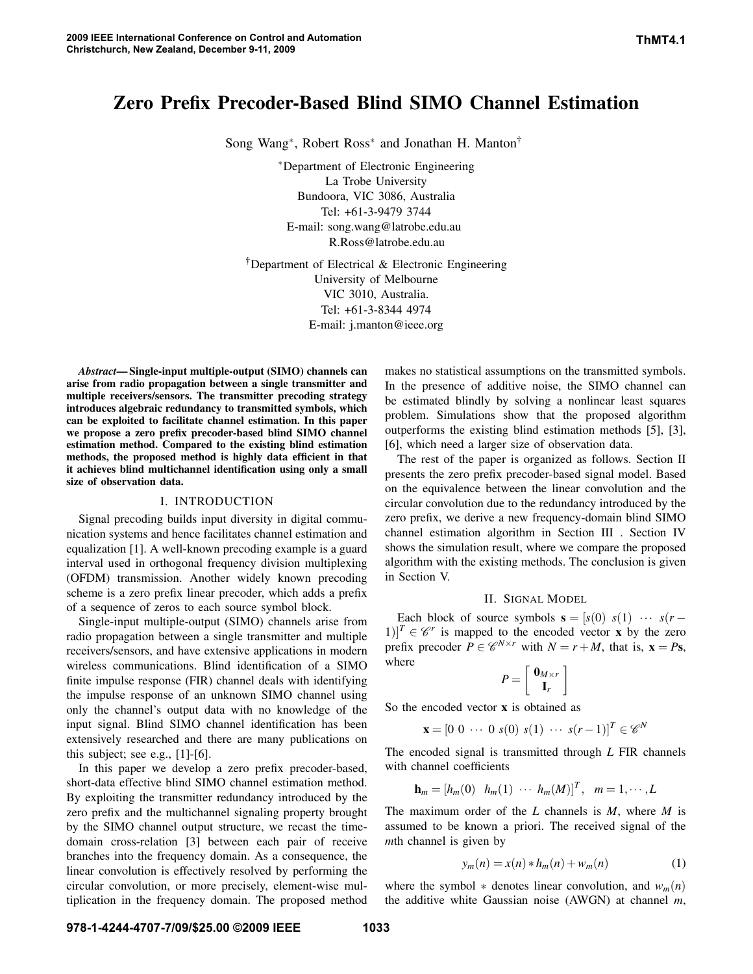Song Wang∗, Robert Ross<sup>∗</sup> and Jonathan H. Manton†

<sup>∗</sup>Department of Electronic Engineering La Trobe University Bundoora, VIC 3086, Australia Tel: +61-3-9479 3744 E-mail: song.wang@latrobe.edu.au R.Ross@latrobe.edu.au

†Department of Electrical & Electronic Engineering University of Melbourne VIC 3010, Australia. Tel: +61-3-8344 4974 E-mail: j.manton@ieee.org

*Abstract*— Single-input multiple-output (SIMO) channels can arise from radio propagation between a single transmitter and multiple receivers/sensors. The transmitter precoding strategy introduces algebraic redundancy to transmitted symbols, which can be exploited to facilitate channel estimation. In this paper we propose a zero prefix precoder-based blind SIMO channel estimation method. Compared to the existing blind estimation methods, the proposed method is highly data efficient in that it achieves blind multichannel identification using only a small size of observation data.

### I. INTRODUCTION

Signal precoding builds input diversity in digital communication systems and hence facilitates channel estimation and equalization [1]. A well-known precoding example is a guard interval used in orthogonal frequency division multiplexing (OFDM) transmission. Another widely known precoding scheme is a zero prefix linear precoder, which adds a prefix of a sequence of zeros to each source symbol block.

Single-input multiple-output (SIMO) channels arise from radio propagation between a single transmitter and multiple receivers/sensors, and have extensive applications in modern wireless communications. Blind identification of a SIMO finite impulse response (FIR) channel deals with identifying the impulse response of an unknown SIMO channel using only the channel's output data with no knowledge of the input signal. Blind SIMO channel identification has been extensively researched and there are many publications on this subject; see e.g.,  $[1]-[6]$ .

In this paper we develop a zero prefix precoder-based, short-data effective blind SIMO channel estimation method. By exploiting the transmitter redundancy introduced by the zero prefix and the multichannel signaling property brought by the SIMO channel output structure, we recast the timedomain cross-relation [3] between each pair of receive branches into the frequency domain. As a consequence, the linear convolution is effectively resolved by performing the circular convolution, or more precisely, element-wise multiplication in the frequency domain. The proposed method makes no statistical assumptions on the transmitted symbols. In the presence of additive noise, the SIMO channel can be estimated blindly by solving a nonlinear least squares problem. Simulations show that the proposed algorithm outperforms the existing blind estimation methods [5], [3], [6], which need a larger size of observation data.

The rest of the paper is organized as follows. Section II presents the zero prefix precoder-based signal model. Based on the equivalence between the linear convolution and the circular convolution due to the redundancy introduced by the zero prefix, we derive a new frequency-domain blind SIMO channel estimation algorithm in Section III . Section IV shows the simulation result, where we compare the proposed algorithm with the existing methods. The conclusion is given in Section V.

#### II. SIGNAL MODEL

Each block of source symbols  $\mathbf{s} = [s(0) \ s(1) \ \cdots \ s(r-1)]$  $[1]^{T} \in \mathscr{C}^{r}$  is mapped to the encoded vector **x** by the zero prefix precoder  $P \in \mathcal{C}^{N \times r}$  with  $N = r + M$ , that is,  $\mathbf{x} = P\mathbf{s}$ , where

$$
P = \left[ \begin{array}{c} \mathbf{0}_{M \times r} \\ \mathbf{I}_r \end{array} \right]
$$

So the encoded vector x is obtained as

$$
\mathbf{x} = \begin{bmatrix} 0 & 0 & \cdots & 0 & s(0) & s(1) & \cdots & s(r-1) \end{bmatrix}^T \in \mathscr{C}^N
$$

The encoded signal is transmitted through *L* FIR channels with channel coefficients

$$
\mathbf{h}_m = [h_m(0) \quad h_m(1) \quad \cdots \quad h_m(M)]^T, \quad m = 1, \cdots, L
$$

The maximum order of the *L* channels is *M*, where *M* is assumed to be known a priori. The received signal of the *m*th channel is given by

$$
y_m(n) = x(n) * h_m(n) + w_m(n)
$$
 (1)

where the symbol  $*$  denotes linear convolution, and  $w_m(n)$ the additive white Gaussian noise (AWGN) at channel *m*,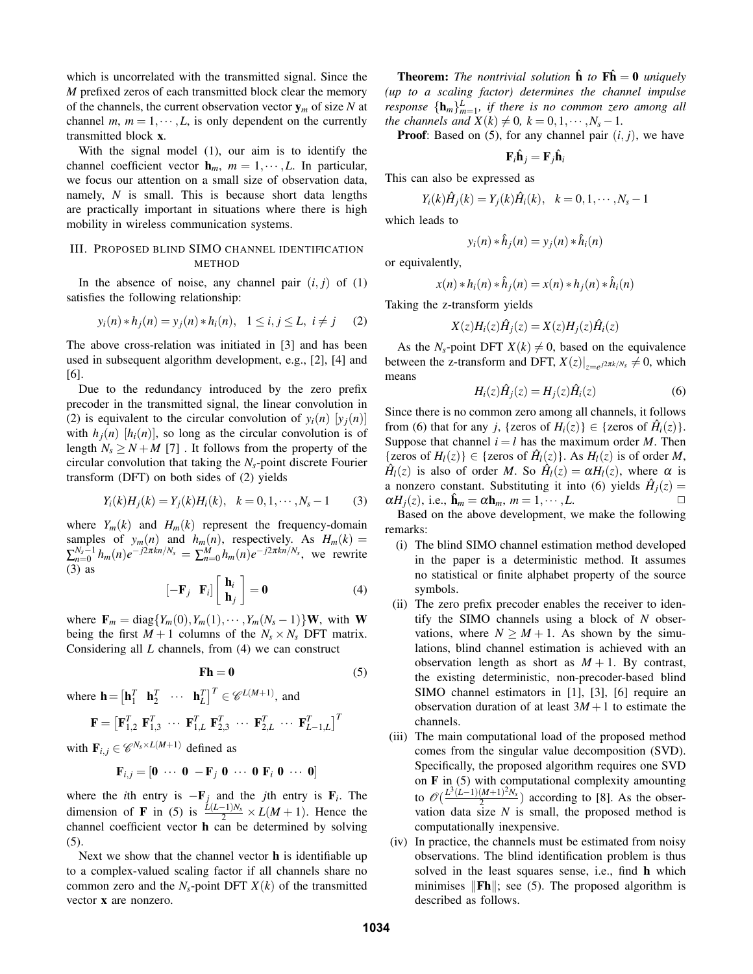which is uncorrelated with the transmitted signal. Since the *M* prefixed zeros of each transmitted block clear the memory of the channels, the current observation vector y*<sup>m</sup>* of size *N* at channel *m*,  $m = 1, \dots, L$ , is only dependent on the currently transmitted block x.

With the signal model (1), our aim is to identify the channel coefficient vector  $h_m$ ,  $m = 1, \dots, L$ . In particular, we focus our attention on a small size of observation data, namely, *N* is small. This is because short data lengths are practically important in situations where there is high mobility in wireless communication systems.

# III. PROPOSED BLIND SIMO CHANNEL IDENTIFICATION **METHOD**

In the absence of noise, any channel pair  $(i, j)$  of  $(1)$ satisfies the following relationship:

$$
y_i(n) * h_j(n) = y_j(n) * h_i(n), \quad 1 \le i, j \le L, \ i \ne j
$$
 (2)

The above cross-relation was initiated in [3] and has been used in subsequent algorithm development, e.g., [2], [4] and [6].

Due to the redundancy introduced by the zero prefix precoder in the transmitted signal, the linear convolution in (2) is equivalent to the circular convolution of  $y_i(n)$  [ $y_i(n)$ ] with  $h_i(n)$   $[h_i(n)]$ , so long as the circular convolution is of length  $N_s > N + M$  [7]. It follows from the property of the circular convolution that taking the *Ns*-point discrete Fourier transform (DFT) on both sides of (2) yields

$$
Y_i(k)H_j(k) = Y_j(k)H_i(k), \quad k = 0, 1, \cdots, N_s - 1 \tag{3}
$$

where  $Y_m(k)$  and  $H_m(k)$  represent the frequency-domain samples of  $y_m(n)$  and  $h_m(n)$ , respectively. As  $H_m(k) =$  $\sum_{n=0}^{N_s-1} h_m(n) e^{-j2\pi k n/N_s} = \sum_{n=0}^{M} h_m(n) e^{-j2\pi k n/N_s}$ , we rewrite (3) as

$$
\begin{bmatrix} -\mathbf{F}_j & \mathbf{F}_i \end{bmatrix} \begin{bmatrix} \mathbf{h}_i \\ \mathbf{h}_j \end{bmatrix} = \mathbf{0}
$$
 (4)

where  $\mathbf{F}_m = \text{diag}\{Y_m(0), Y_m(1), \cdots, Y_m(N_s-1)\}\mathbf{W}$ , with **W** being the first  $M + 1$  columns of the  $N_s \times N_s$  DFT matrix. Considering all *L* channels, from (4) we can construct

$$
\mathbf{Fh} = \mathbf{0} \tag{5}
$$

where  $\mathbf{h} = \begin{bmatrix} \mathbf{h}_1^T & \mathbf{h}_2^T & \cdots & \mathbf{h}_L^T \end{bmatrix}^T \in \mathcal{C}^{L(M+1)}$ , and

$$
\mathbf{F} = \left[\mathbf{F}_{1,2}^T \ \mathbf{F}_{1,3}^T \ \cdots \ \mathbf{F}_{1,L}^T \ \mathbf{F}_{2,3}^T \ \cdots \ \mathbf{F}_{2,L}^T \ \cdots \ \mathbf{F}_{L-1,L}^T\right]^T
$$

with  $\mathbf{F}_{i,j} \in \mathcal{C}^{N_s \times L(M+1)}$  defined as

$$
\mathbf{F}_{i,j} = \left[\mathbf{0} \cdots \mathbf{0} - \mathbf{F}_j \mathbf{0} \cdots \mathbf{0} \mathbf{F}_i \mathbf{0} \cdots \mathbf{0}\right]
$$

where the *i*th entry is  $-\mathbf{F}_j$  and the *j*th entry is  $\mathbf{F}_i$ . The dimension of **F** in (5) is  $\frac{L(L-1)N_s}{2} \times L(M+1)$ . Hence the channel coefficient vector h can be determined by solving (5).

Next we show that the channel vector h is identifiable up to a complex-valued scaling factor if all channels share no common zero and the  $N_s$ -point DFT  $X(k)$  of the transmitted vector x are nonzero.

**Theorem:** *The nontrivial solution*  $\hat{\bf h}$  *to*  ${\bf F}\hat{\bf h} = 0$  *uniquely (up to a scaling factor) determines the channel impulse response*  $\{\mathbf{h}_m\}_{m=1}^L$ , *if there is no common zero among all the channels and*  $X(k) \neq 0$ ,  $k = 0, 1, \dots, N_s - 1$ .

**Proof:** Based on (5), for any channel pair  $(i, j)$ , we have

$$
\mathbf{F}_i \hat{\mathbf{h}}_j = \mathbf{F}_j \hat{\mathbf{h}}_i
$$

This can also be expressed as

$$
Y_i(k)\hat{H}_j(k) = Y_j(k)\hat{H}_i(k), \quad k = 0, 1, \cdots, N_s - 1
$$

which leads to

$$
y_i(n) * \hat{h}_j(n) = y_j(n) * \hat{h}_i(n)
$$

or equivalently,

$$
x(n) * h_i(n) * \hat{h}_j(n) = x(n) * h_j(n) * \hat{h}_i(n)
$$

Taking the z-transform yields

$$
X(z)H_i(z)\hat{H}_j(z) = X(z)H_j(z)\hat{H}_i(z)
$$

As the *N<sub>s</sub>*-point DFT  $X(k) \neq 0$ , based on the equivalence between the z-transform and DFT,  $X(z)|_{z=e^{j2\pi k/N_s}} \neq 0$ , which means

$$
H_i(z)\hat{H}_j(z) = H_j(z)\hat{H}_i(z)
$$
\n(6)

Since there is no common zero among all channels, it follows from (6) that for any *j*, {zeros of  $H_i(z)$ }  $\in$  {zeros of  $\hat{H}_i(z)$ }. Suppose that channel  $i = l$  has the maximum order *M*. Then {zeros of  $H_l(z)$ }  $\in$  {zeros of  $\hat{H}_l(z)$ }. As  $H_l(z)$  is of order *M*,  $\hat{H}_l(z)$  is also of order *M*. So  $\hat{H}_l(z) = \alpha H_l(z)$ , where  $\alpha$  is a nonzero constant. Substituting it into (6) yields  $\hat{H}_i(z) =$  $\alpha H_i(z)$ , i.e.,  $\hat{\mathbf{h}}_m = \alpha \mathbf{h}_m$ ,  $m = 1, \dots, L$ .

Based on the above development, we make the following remarks:

- (i) The blind SIMO channel estimation method developed in the paper is a deterministic method. It assumes no statistical or finite alphabet property of the source symbols.
- (ii) The zero prefix precoder enables the receiver to identify the SIMO channels using a block of *N* observations, where  $N \geq M + 1$ . As shown by the simulations, blind channel estimation is achieved with an observation length as short as  $M + 1$ . By contrast, the existing deterministic, non-precoder-based blind SIMO channel estimators in [1], [3], [6] require an observation duration of at least  $3M + 1$  to estimate the channels.
- (iii) The main computational load of the proposed method comes from the singular value decomposition (SVD). Specifically, the proposed algorithm requires one SVD on  $\bf{F}$  in (5) with computational complexity amounting to  $\mathcal{O}(\frac{L^3(L-1)(M+1)^2N_s}{2})$  according to [8]. As the observation data size  $N$  is small, the proposed method is computationally inexpensive.
- (iv) In practice, the channels must be estimated from noisy observations. The blind identification problem is thus solved in the least squares sense, i.e., find h which minimises  $\|\mathbf{F}\mathbf{h}\|$ ; see (5). The proposed algorithm is described as follows.